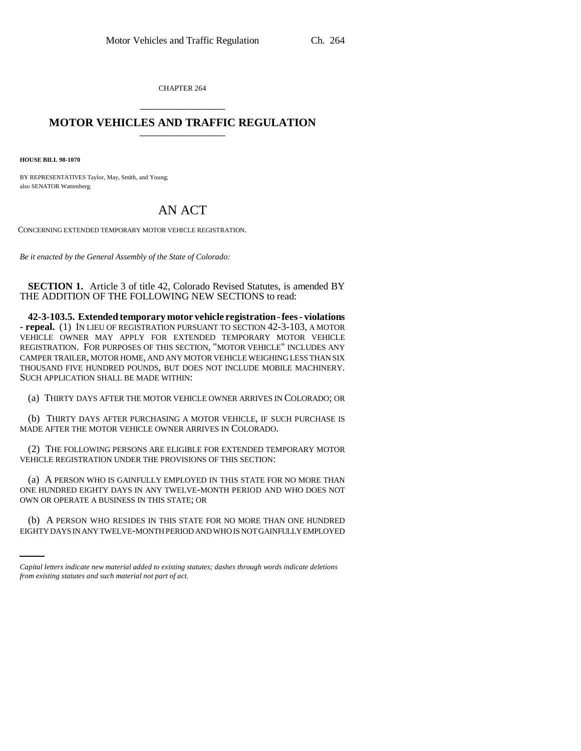CHAPTER 264 \_\_\_\_\_\_\_\_\_\_\_\_\_\_\_

## **MOTOR VEHICLES AND TRAFFIC REGULATION**

**HOUSE BILL 98-1070**

BY REPRESENTATIVES Taylor, May, Smith, and Young; also SENATOR Wattenberg.

## AN ACT

CONCERNING EXTENDED TEMPORARY MOTOR VEHICLE REGISTRATION.

*Be it enacted by the General Assembly of the State of Colorado:*

**SECTION 1.** Article 3 of title 42, Colorado Revised Statutes, is amended BY THE ADDITION OF THE FOLLOWING NEW SECTIONS to read:

**42-3-103.5. Extended temporary motor vehicle registration - fees - violations - repeal.** (1) IN LIEU OF REGISTRATION PURSUANT TO SECTION 42-3-103, A MOTOR VEHICLE OWNER MAY APPLY FOR EXTENDED TEMPORARY MOTOR VEHICLE REGISTRATION. FOR PURPOSES OF THIS SECTION, "MOTOR VEHICLE" INCLUDES ANY CAMPER TRAILER, MOTOR HOME, AND ANY MOTOR VEHICLE WEIGHING LESS THAN SIX THOUSAND FIVE HUNDRED POUNDS, BUT DOES NOT INCLUDE MOBILE MACHINERY. SUCH APPLICATION SHALL BE MADE WITHIN:

(a) THIRTY DAYS AFTER THE MOTOR VEHICLE OWNER ARRIVES IN COLORADO; OR

(b) THIRTY DAYS AFTER PURCHASING A MOTOR VEHICLE, IF SUCH PURCHASE IS MADE AFTER THE MOTOR VEHICLE OWNER ARRIVES IN COLORADO.

(2) THE FOLLOWING PERSONS ARE ELIGIBLE FOR EXTENDED TEMPORARY MOTOR VEHICLE REGISTRATION UNDER THE PROVISIONS OF THIS SECTION:

OWN OR OPERATE A BUSINESS IN THIS STATE; OR (a) A PERSON WHO IS GAINFULLY EMPLOYED IN THIS STATE FOR NO MORE THAN ONE HUNDRED EIGHTY DAYS IN ANY TWELVE-MONTH PERIOD AND WHO DOES NOT

(b) A PERSON WHO RESIDES IN THIS STATE FOR NO MORE THAN ONE HUNDRED EIGHTY DAYS IN ANY TWELVE-MONTH PERIOD AND WHO IS NOT GAINFULLY EMPLOYED

*Capital letters indicate new material added to existing statutes; dashes through words indicate deletions from existing statutes and such material not part of act.*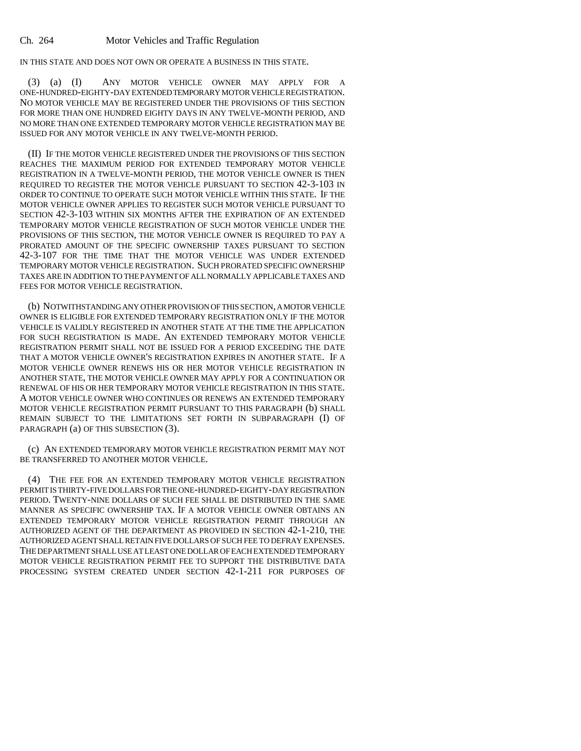IN THIS STATE AND DOES NOT OWN OR OPERATE A BUSINESS IN THIS STATE.

(3) (a) (I) ANY MOTOR VEHICLE OWNER MAY APPLY FOR A ONE-HUNDRED-EIGHTY-DAY EXTENDED TEMPORARY MOTOR VEHICLE REGISTRATION. NO MOTOR VEHICLE MAY BE REGISTERED UNDER THE PROVISIONS OF THIS SECTION FOR MORE THAN ONE HUNDRED EIGHTY DAYS IN ANY TWELVE-MONTH PERIOD, AND NO MORE THAN ONE EXTENDED TEMPORARY MOTOR VEHICLE REGISTRATION MAY BE ISSUED FOR ANY MOTOR VEHICLE IN ANY TWELVE-MONTH PERIOD.

(II) IF THE MOTOR VEHICLE REGISTERED UNDER THE PROVISIONS OF THIS SECTION REACHES THE MAXIMUM PERIOD FOR EXTENDED TEMPORARY MOTOR VEHICLE REGISTRATION IN A TWELVE-MONTH PERIOD, THE MOTOR VEHICLE OWNER IS THEN REQUIRED TO REGISTER THE MOTOR VEHICLE PURSUANT TO SECTION 42-3-103 IN ORDER TO CONTINUE TO OPERATE SUCH MOTOR VEHICLE WITHIN THIS STATE. IF THE MOTOR VEHICLE OWNER APPLIES TO REGISTER SUCH MOTOR VEHICLE PURSUANT TO SECTION 42-3-103 WITHIN SIX MONTHS AFTER THE EXPIRATION OF AN EXTENDED TEMPORARY MOTOR VEHICLE REGISTRATION OF SUCH MOTOR VEHICLE UNDER THE PROVISIONS OF THIS SECTION, THE MOTOR VEHICLE OWNER IS REQUIRED TO PAY A PRORATED AMOUNT OF THE SPECIFIC OWNERSHIP TAXES PURSUANT TO SECTION 42-3-107 FOR THE TIME THAT THE MOTOR VEHICLE WAS UNDER EXTENDED TEMPORARY MOTOR VEHICLE REGISTRATION. SUCH PRORATED SPECIFIC OWNERSHIP TAXES ARE IN ADDITION TO THE PAYMENT OF ALL NORMALLY APPLICABLE TAXES AND FEES FOR MOTOR VEHICLE REGISTRATION.

(b) NOTWITHSTANDING ANY OTHER PROVISION OF THIS SECTION, A MOTOR VEHICLE OWNER IS ELIGIBLE FOR EXTENDED TEMPORARY REGISTRATION ONLY IF THE MOTOR VEHICLE IS VALIDLY REGISTERED IN ANOTHER STATE AT THE TIME THE APPLICATION FOR SUCH REGISTRATION IS MADE. AN EXTENDED TEMPORARY MOTOR VEHICLE REGISTRATION PERMIT SHALL NOT BE ISSUED FOR A PERIOD EXCEEDING THE DATE THAT A MOTOR VEHICLE OWNER'S REGISTRATION EXPIRES IN ANOTHER STATE. IF A MOTOR VEHICLE OWNER RENEWS HIS OR HER MOTOR VEHICLE REGISTRATION IN ANOTHER STATE, THE MOTOR VEHICLE OWNER MAY APPLY FOR A CONTINUATION OR RENEWAL OF HIS OR HER TEMPORARY MOTOR VEHICLE REGISTRATION IN THIS STATE. A MOTOR VEHICLE OWNER WHO CONTINUES OR RENEWS AN EXTENDED TEMPORARY MOTOR VEHICLE REGISTRATION PERMIT PURSUANT TO THIS PARAGRAPH (b) SHALL REMAIN SUBJECT TO THE LIMITATIONS SET FORTH IN SUBPARAGRAPH (I) OF PARAGRAPH (a) OF THIS SUBSECTION (3).

(c) AN EXTENDED TEMPORARY MOTOR VEHICLE REGISTRATION PERMIT MAY NOT BE TRANSFERRED TO ANOTHER MOTOR VEHICLE.

(4) THE FEE FOR AN EXTENDED TEMPORARY MOTOR VEHICLE REGISTRATION PERMIT IS THIRTY-FIVE DOLLARS FOR THE ONE-HUNDRED-EIGHTY-DAY REGISTRATION PERIOD. TWENTY-NINE DOLLARS OF SUCH FEE SHALL BE DISTRIBUTED IN THE SAME MANNER AS SPECIFIC OWNERSHIP TAX. IF A MOTOR VEHICLE OWNER OBTAINS AN EXTENDED TEMPORARY MOTOR VEHICLE REGISTRATION PERMIT THROUGH AN AUTHORIZED AGENT OF THE DEPARTMENT AS PROVIDED IN SECTION 42-1-210, THE AUTHORIZED AGENT SHALL RETAIN FIVE DOLLARS OF SUCH FEE TO DEFRAY EXPENSES. THE DEPARTMENT SHALL USE AT LEAST ONE DOLLAR OF EACH EXTENDED TEMPORARY MOTOR VEHICLE REGISTRATION PERMIT FEE TO SUPPORT THE DISTRIBUTIVE DATA PROCESSING SYSTEM CREATED UNDER SECTION 42-1-211 FOR PURPOSES OF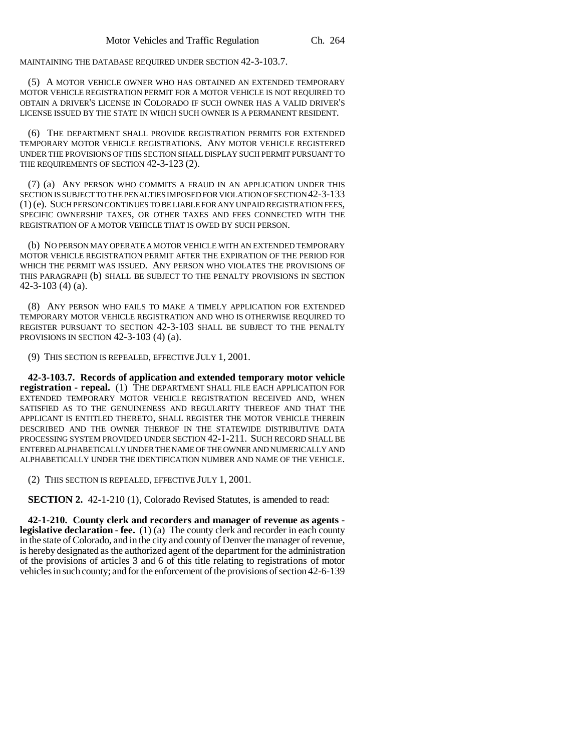MAINTAINING THE DATABASE REQUIRED UNDER SECTION 42-3-103.7.

(5) A MOTOR VEHICLE OWNER WHO HAS OBTAINED AN EXTENDED TEMPORARY MOTOR VEHICLE REGISTRATION PERMIT FOR A MOTOR VEHICLE IS NOT REQUIRED TO OBTAIN A DRIVER'S LICENSE IN COLORADO IF SUCH OWNER HAS A VALID DRIVER'S LICENSE ISSUED BY THE STATE IN WHICH SUCH OWNER IS A PERMANENT RESIDENT.

(6) THE DEPARTMENT SHALL PROVIDE REGISTRATION PERMITS FOR EXTENDED TEMPORARY MOTOR VEHICLE REGISTRATIONS. ANY MOTOR VEHICLE REGISTERED UNDER THE PROVISIONS OF THIS SECTION SHALL DISPLAY SUCH PERMIT PURSUANT TO THE REQUIREMENTS OF SECTION 42-3-123 (2).

(7) (a) ANY PERSON WHO COMMITS A FRAUD IN AN APPLICATION UNDER THIS SECTION IS SUBJECT TO THE PENALTIES IMPOSED FOR VIOLATION OF SECTION 42-3-133 (1) (e). SUCH PERSON CONTINUES TO BE LIABLE FOR ANY UNPAID REGISTRATION FEES, SPECIFIC OWNERSHIP TAXES, OR OTHER TAXES AND FEES CONNECTED WITH THE REGISTRATION OF A MOTOR VEHICLE THAT IS OWED BY SUCH PERSON.

(b) NO PERSON MAY OPERATE A MOTOR VEHICLE WITH AN EXTENDED TEMPORARY MOTOR VEHICLE REGISTRATION PERMIT AFTER THE EXPIRATION OF THE PERIOD FOR WHICH THE PERMIT WAS ISSUED. ANY PERSON WHO VIOLATES THE PROVISIONS OF THIS PARAGRAPH (b) SHALL BE SUBJECT TO THE PENALTY PROVISIONS IN SECTION 42-3-103 (4) (a).

(8) ANY PERSON WHO FAILS TO MAKE A TIMELY APPLICATION FOR EXTENDED TEMPORARY MOTOR VEHICLE REGISTRATION AND WHO IS OTHERWISE REQUIRED TO REGISTER PURSUANT TO SECTION 42-3-103 SHALL BE SUBJECT TO THE PENALTY PROVISIONS IN SECTION 42-3-103 (4) (a).

(9) THIS SECTION IS REPEALED, EFFECTIVE JULY 1, 2001.

**42-3-103.7. Records of application and extended temporary motor vehicle registration - repeal.** (1) THE DEPARTMENT SHALL FILE EACH APPLICATION FOR EXTENDED TEMPORARY MOTOR VEHICLE REGISTRATION RECEIVED AND, WHEN SATISFIED AS TO THE GENUINENESS AND REGULARITY THEREOF AND THAT THE APPLICANT IS ENTITLED THERETO, SHALL REGISTER THE MOTOR VEHICLE THEREIN DESCRIBED AND THE OWNER THEREOF IN THE STATEWIDE DISTRIBUTIVE DATA PROCESSING SYSTEM PROVIDED UNDER SECTION 42-1-211. SUCH RECORD SHALL BE ENTERED ALPHABETICALLY UNDER THE NAME OF THE OWNER AND NUMERICALLY AND ALPHABETICALLY UNDER THE IDENTIFICATION NUMBER AND NAME OF THE VEHICLE.

(2) THIS SECTION IS REPEALED, EFFECTIVE JULY 1, 2001.

**SECTION 2.** 42-1-210 (1), Colorado Revised Statutes, is amended to read:

**42-1-210. County clerk and recorders and manager of revenue as agents legislative declaration - fee.** (1) (a) The county clerk and recorder in each county in the state of Colorado, and in the city and county of Denver the manager of revenue, is hereby designated as the authorized agent of the department for the administration of the provisions of articles 3 and 6 of this title relating to registrations of motor vehicles in such county; and for the enforcement of the provisions of section 42-6-139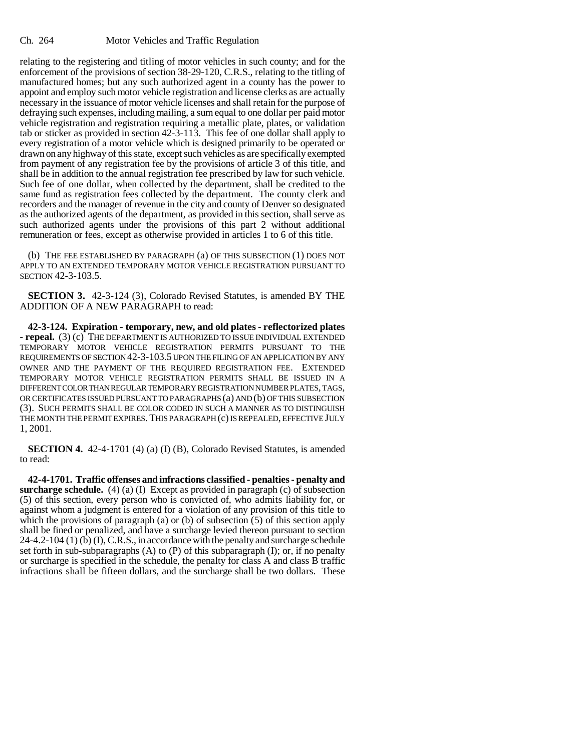relating to the registering and titling of motor vehicles in such county; and for the enforcement of the provisions of section 38-29-120, C.R.S., relating to the titling of manufactured homes; but any such authorized agent in a county has the power to appoint and employ such motor vehicle registration and license clerks as are actually necessary in the issuance of motor vehicle licenses and shall retain for the purpose of defraying such expenses, including mailing, a sum equal to one dollar per paid motor vehicle registration and registration requiring a metallic plate, plates, or validation tab or sticker as provided in section 42-3-113. This fee of one dollar shall apply to every registration of a motor vehicle which is designed primarily to be operated or drawn on any highway of this state, except such vehicles as are specifically exempted from payment of any registration fee by the provisions of article 3 of this title, and shall be in addition to the annual registration fee prescribed by law for such vehicle. Such fee of one dollar, when collected by the department, shall be credited to the same fund as registration fees collected by the department. The county clerk and recorders and the manager of revenue in the city and county of Denver so designated as the authorized agents of the department, as provided in this section, shall serve as such authorized agents under the provisions of this part 2 without additional remuneration or fees, except as otherwise provided in articles 1 to 6 of this title.

(b) THE FEE ESTABLISHED BY PARAGRAPH (a) OF THIS SUBSECTION (1) DOES NOT APPLY TO AN EXTENDED TEMPORARY MOTOR VEHICLE REGISTRATION PURSUANT TO SECTION 42-3-103.5.

**SECTION 3.** 42-3-124 (3), Colorado Revised Statutes, is amended BY THE ADDITION OF A NEW PARAGRAPH to read:

**42-3-124. Expiration - temporary, new, and old plates - reflectorized plates - repeal.** (3) (c) THE DEPARTMENT IS AUTHORIZED TO ISSUE INDIVIDUAL EXTENDED TEMPORARY MOTOR VEHICLE REGISTRATION PERMITS PURSUANT TO THE REQUIREMENTS OF SECTION 42-3-103.5 UPON THE FILING OF AN APPLICATION BY ANY OWNER AND THE PAYMENT OF THE REQUIRED REGISTRATION FEE. EXTENDED TEMPORARY MOTOR VEHICLE REGISTRATION PERMITS SHALL BE ISSUED IN A DIFFERENT COLOR THAN REGULAR TEMPORARY REGISTRATION NUMBER PLATES, TAGS, OR CERTIFICATES ISSUED PURSUANT TO PARAGRAPHS (a) AND (b) OF THIS SUBSECTION (3). SUCH PERMITS SHALL BE COLOR CODED IN SUCH A MANNER AS TO DISTINGUISH THE MONTH THE PERMIT EXPIRES. THIS PARAGRAPH (c) IS REPEALED, EFFECTIVE JULY 1, 2001.

**SECTION 4.** 42-4-1701 (4) (a) (I) (B), Colorado Revised Statutes, is amended to read:

**42-4-1701. Traffic offenses and infractions classified - penalties - penalty and surcharge schedule.** (4) (a) (I) Except as provided in paragraph (c) of subsection (5) of this section, every person who is convicted of, who admits liability for, or against whom a judgment is entered for a violation of any provision of this title to which the provisions of paragraph (a) or (b) of subsection (5) of this section apply shall be fined or penalized, and have a surcharge levied thereon pursuant to section 24-4.2-104 (1) (b) (I), C.R.S., in accordance with the penalty and surcharge schedule set forth in sub-subparagraphs  $(A)$  to  $(P)$  of this subparagraph  $(I)$ ; or, if no penalty or surcharge is specified in the schedule, the penalty for class A and class B traffic infractions shall be fifteen dollars, and the surcharge shall be two dollars. These